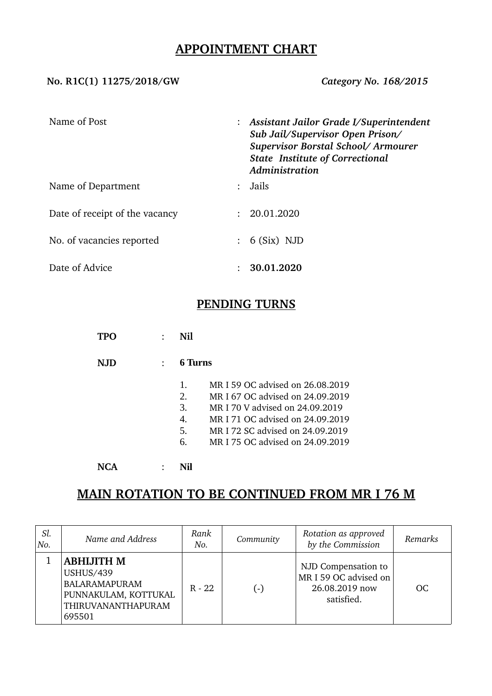## **APPOINTMENT CHART**

#### **No. R1C(1) 11275/2018/GW** *Category No. 168/2015*

| Name of Post                   | $:$ Assistant Jailor Grade I/Superintendent<br>Sub Jail/Supervisor Open Prison/<br>Supervisor Borstal School/Armourer<br><b>State Institute of Correctional</b><br>Administration |
|--------------------------------|-----------------------------------------------------------------------------------------------------------------------------------------------------------------------------------|
| Name of Department             | Jails                                                                                                                                                                             |
| Date of receipt of the vacancy | 20.01.2020                                                                                                                                                                        |
| No. of vacancies reported      | $: 6(Six)$ NJD                                                                                                                                                                    |
| Date of Advice                 | 30.01.2020                                                                                                                                                                        |

## **PENDING TURNS**

| TPO  | Nil            |                                  |
|------|----------------|----------------------------------|
| N.JD | 6 Turns        |                                  |
|      | $\mathbf{1}$ . | MR I 59 OC advised on 26.08.2019 |
|      | 2.             | MR I 67 OC advised on 24.09.2019 |
|      | 3.             | MR I 70 V advised on 24.09.2019  |
|      | 4.             | MR I 71 OC advised on 24.09.2019 |
|      | 5.             | MR I 72 SC advised on 24.09.2019 |
|      | 6.             | MR I 75 OC advised on 24.09.2019 |
|      |                |                                  |

# **MAIN ROTATION TO BE CONTINUED FROM MR I 76 M**

| Sl.<br>No. | Name and Address                                                                                                      | Rank<br>No. | Community          | Rotation as approved<br>by the Commission                                    | Remarks |
|------------|-----------------------------------------------------------------------------------------------------------------------|-------------|--------------------|------------------------------------------------------------------------------|---------|
|            | <b>ABHIJITH M</b><br><b>USHUS/439</b><br><b>BALARAMAPURAM</b><br>PUNNAKULAM, KOTTUKAL<br>THIRUVANANTHAPURAM<br>695501 | $R - 22$    | $(\textnormal{-})$ | NJD Compensation to<br>MR I 59 OC advised on<br>26.08.2019 now<br>satisfied. | OC      |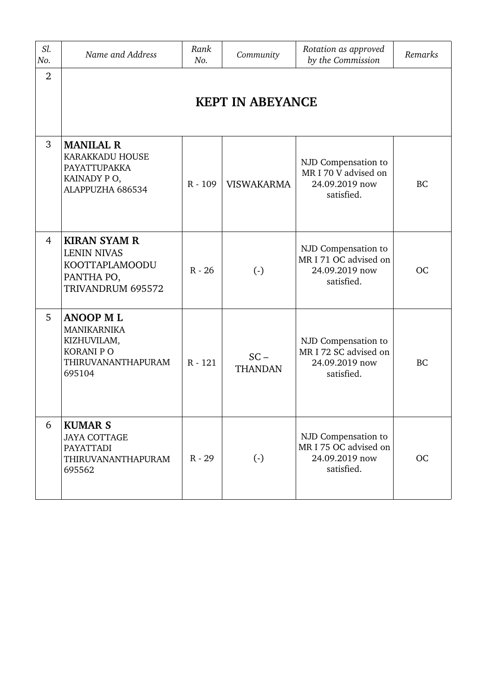| Sl.<br>No.     | Name and Address                                                                                          | Rank<br>No. | Community                | Rotation as approved<br>by the Commission                                    | Remarks   |  |  |
|----------------|-----------------------------------------------------------------------------------------------------------|-------------|--------------------------|------------------------------------------------------------------------------|-----------|--|--|
| $\overline{2}$ | <b>KEPT IN ABEYANCE</b>                                                                                   |             |                          |                                                                              |           |  |  |
| 3              | <b>MANILAL R</b><br>KARAKKADU HOUSE<br>PAYATTUPAKKA<br>KAINADY PO,<br>ALAPPUZHA 686534                    | R - 109     | <b>VISWAKARMA</b>        | NJD Compensation to<br>MR I 70 V advised on<br>24.09.2019 now<br>satisfied.  | <b>BC</b> |  |  |
| 4              | <b>KIRAN SYAM R</b><br><b>LENIN NIVAS</b><br>KOOTTAPLAMOODU<br>PANTHA PO,<br>TRIVANDRUM 695572            | $R - 26$    | $\left( \cdot \right)$   | NJD Compensation to<br>MR I 71 OC advised on<br>24.09.2019 now<br>satisfied. | <b>OC</b> |  |  |
| 5              | <b>ANOOP ML</b><br><b>MANIKARNIKA</b><br>KIZHUVILAM,<br><b>KORANI P O</b><br>THIRUVANANTHAPURAM<br>695104 | $R - 121$   | $SC -$<br><b>THANDAN</b> | NJD Compensation to<br>MR I 72 SC advised on<br>24.09.2019 now<br>satisfied. | <b>BC</b> |  |  |
| 6              | <b>KUMAR S</b><br><b>JAYA COTTAGE</b><br><b>PAYATTADI</b><br>THIRUVANANTHAPURAM<br>695562                 | $R - 29$    | $\left( \cdot \right)$   | NJD Compensation to<br>MR I 75 OC advised on<br>24.09.2019 now<br>satisfied. | <b>OC</b> |  |  |